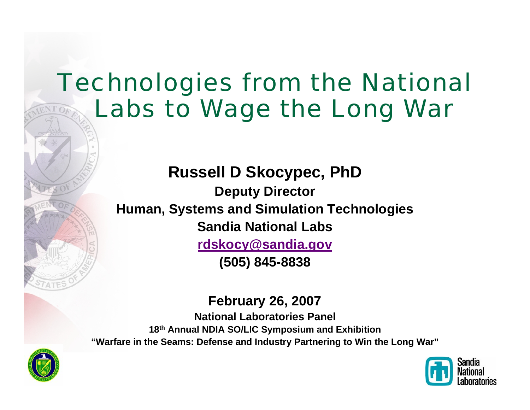# Technologies from the National Labs to Wage the Long War

**Russell D Skocypec, PhD Deputy Director Human, Systems and Simulation Technologies Sandia National Labs[rdskocy@sandia.gov](mailto:rdskocy@sandia.gov) (505) 845-8838**

#### **February 26, 2007**

**National Laboratories Panel18th Annual NDIA SO/LIC Symposium and Exhibition "Warfare in the Seams: Defense and Industry Partnering to Win the Long War"**



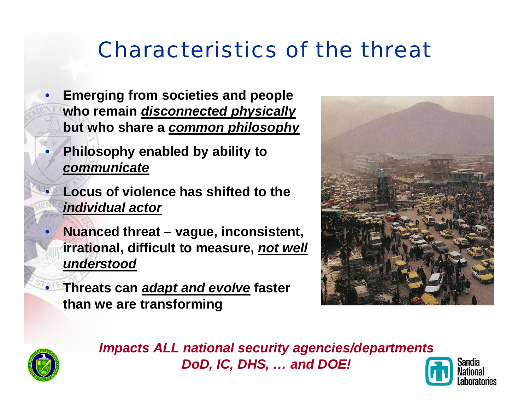# Characteristics of the threat

- **Emerging from societies and people who remain** *disconnected physically*  **but who share a** *common philosophy*
- **Philosophy enabled by ability to**  *communicate*
- **Locus of violence has shifted to the** *individual actor*
- **Nuanced threat vague, inconsistent, irrational, difficult to measure,** *not well understood*
- **Threats can** *adapt and evolve* **faster than we are transforming**





*Impacts ALL national security agencies/departments DoD, IC, DHS, … and DOE!*

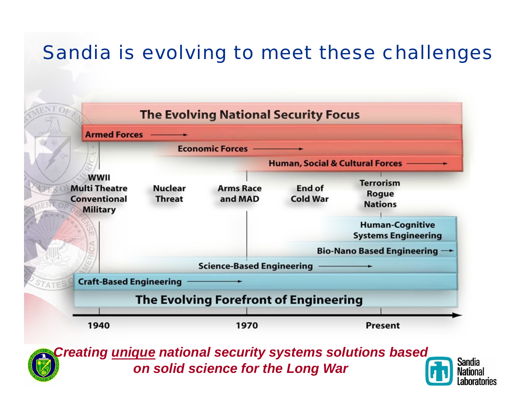## Sandia is evolving to meet these challenges



*Creating unique national security systems solutions based on solid science for the Long War*

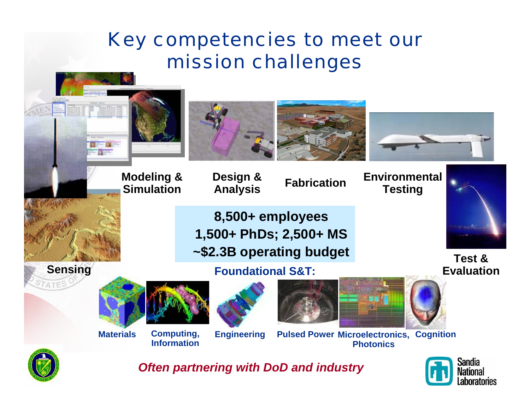## Key competencies to meet our mission challenges



*Often partnering with DoD and industry*

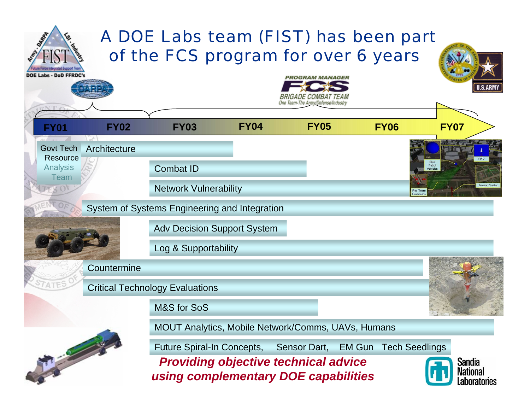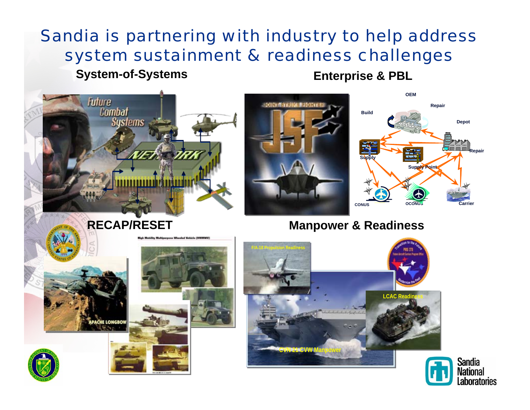## Sandia is partnering with industry to help address system sustainment & readiness challenges

#### **System-of-Systems Enterprise & PBL**

Laboratories

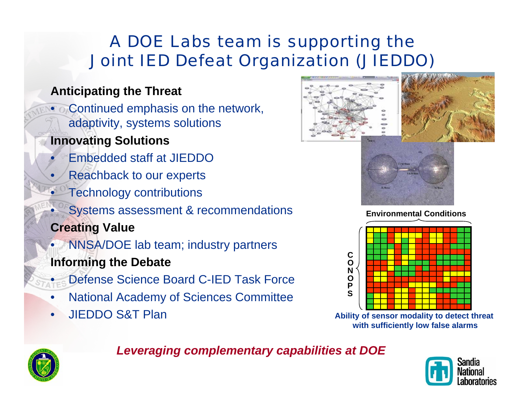### A DOE Labs team is supporting the Joint IED Defeat Organization (JIEDDO)

#### **Anticipating the Threat**

• Continued emphasis on the network, adaptivity, systems solutions

#### **Innovating Solutions**

- Embedded staff at JIEDDO
- Reachback to our experts
- Technology contributions
	- Systems assessment & recommendations
- **Creating Value**
- NNSA/DOE lab team; industry partners **Informing the Debate**
	- Defense Science Board C-IED Task Force
- National Academy of Sciences Committee
- JIEDDO S&T Plan





**Environmental Conditions**



**Ability of sensor modality to detect threat with sufficiently low false alarms**



#### *Leveraging complementary capabilities at DOE*

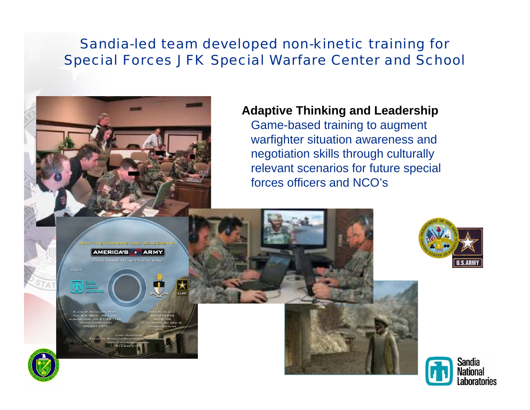#### Sandia-led team developed non-kinetic training for Special Forces JFK Special Warfare Center and School



#### **Adaptive Thinking and Leadership**

Game-based training to augment warfighter situation awareness and negotiation skills through culturally relevant scenarios for future special forces officers and NCO's





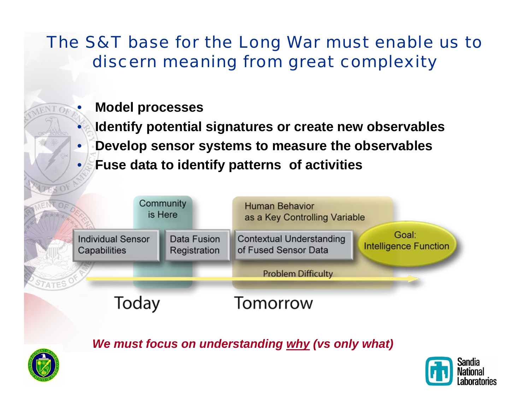### The S&T base for the Long War must enable us to discern meaning from great complexity

- **Model processes**
- **Identify potential signatures or create new observables**
- **Develop sensor systems to measure the observables**
	- **Fuse data to identify patterns of activities**



*We must focus on understanding why (vs only what)*